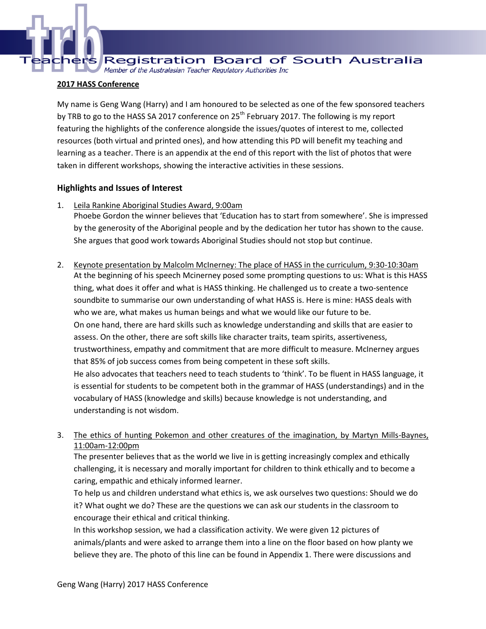s Registration Board of South Australia Member of the Australasian Teacher Regulatory Authorities Inc

#### **2017 HASS Conference**

My name is Geng Wang (Harry) and I am honoured to be selected as one of the few sponsored teachers by TRB to go to the HASS SA 2017 conference on 25<sup>th</sup> February 2017. The following is my report featuring the highlights of the conference alongside the issues/quotes of interest to me, collected resources (both virtual and printed ones), and how attending this PD will benefit my teaching and learning as a teacher. There is an appendix at the end of this report with the list of photos that were taken in different workshops, showing the interactive activities in these sessions.

#### **Highlights and Issues of Interest**

1. Leila Rankine Aboriginal Studies Award, 9:00am

Phoebe Gordon the winner believes that 'Education has to start from somewhere'. She is impressed by the generosity of the Aboriginal people and by the dedication her tutor has shown to the cause. She argues that good work towards Aboriginal Studies should not stop but continue.

2. Keynote presentation by Malcolm McInerney: The place of HASS in the curriculum, 9:30-10:30am At the beginning of his speech Mcinerney posed some prompting questions to us: What is this HASS thing, what does it offer and what is HASS thinking. He challenged us to create a two-sentence soundbite to summarise our own understanding of what HASS is. Here is mine: HASS deals with who we are, what makes us human beings and what we would like our future to be. On one hand, there are hard skills such as knowledge understanding and skills that are easier to assess. On the other, there are soft skills like character traits, team spirits, assertiveness, trustworthiness, empathy and commitment that are more difficult to measure. McInerney argues that 85% of job success comes from being competent in these soft skills. He also advocates that teachers need to teach students to 'think'. To be fluent in HASS language, it is essential for students to be competent both in the grammar of HASS (understandings) and in the vocabulary of HASS (knowledge and skills) because knowledge is not understanding, and understanding is not wisdom.

## 3. The ethics of hunting Pokemon and other creatures of the imagination, by Martyn Mills-Baynes, 11:00am-12:00pm

The presenter believes that as the world we live in is getting increasingly complex and ethically challenging, it is necessary and morally important for children to think ethically and to become a caring, empathic and ethicaly informed learner.

To help us and children understand what ethics is, we ask ourselves two questions: Should we do it? What ought we do? These are the questions we can ask our students in the classroom to encourage their ethical and critical thinking.

In this workshop session, we had a classification activity. We were given 12 pictures of animals/plants and were asked to arrange them into a line on the floor based on how planty we believe they are. The photo of this line can be found in Appendix 1. There were discussions and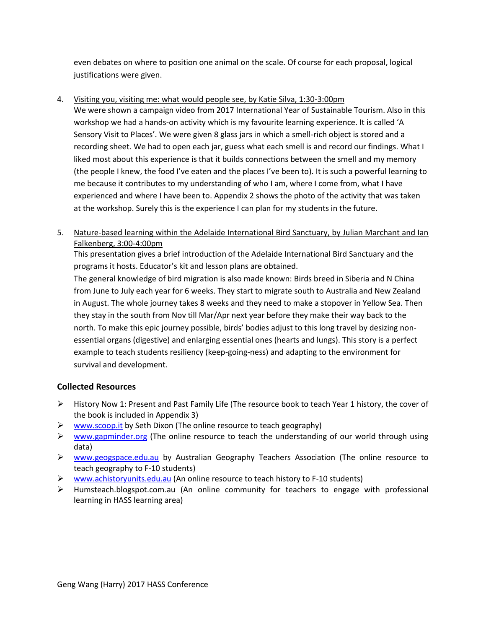even debates on where to position one animal on the scale. Of course for each proposal, logical justifications were given.

#### 4. Visiting you, visiting me: what would people see, by Katie Silva, 1:30-3:00pm

We were shown a campaign video from 2017 International Year of Sustainable Tourism. Also in this workshop we had a hands-on activity which is my favourite learning experience. It is called 'A Sensory Visit to Places'. We were given 8 glass jars in which a smell-rich object is stored and a recording sheet. We had to open each jar, guess what each smell is and record our findings. What I liked most about this experience is that it builds connections between the smell and my memory (the people I knew, the food I've eaten and the places I've been to). It is such a powerful learning to me because it contributes to my understanding of who I am, where I come from, what I have experienced and where I have been to. Appendix 2 shows the photo of the activity that was taken at the workshop. Surely this is the experience I can plan for my students in the future.

## 5. Nature-based learning within the Adelaide International Bird Sanctuary, by Julian Marchant and Ian Falkenberg, 3:00-4:00pm

This presentation gives a brief introduction of the Adelaide International Bird Sanctuary and the programs it hosts. Educator's kit and lesson plans are obtained.

The general knowledge of bird migration is also made known: Birds breed in Siberia and N China from June to July each year for 6 weeks. They start to migrate south to Australia and New Zealand in August. The whole journey takes 8 weeks and they need to make a stopover in Yellow Sea. Then they stay in the south from Nov till Mar/Apr next year before they make their way back to the north. To make this epic journey possible, birds' bodies adjust to this long travel by desizing nonessential organs (digestive) and enlarging essential ones (hearts and lungs). This story is a perfect example to teach students resiliency (keep-going-ness) and adapting to the environment for survival and development.

## **Collected Resources**

- $\triangleright$  History Now 1: Present and Past Family Life (The resource book to teach Year 1 history, the cover of the book is included in Appendix 3)
- $\triangleright$  [www.scoop.it](http://www.scoop.it/) by Seth Dixon (The online resource to teach geography)
- $\triangleright$  [www.gapminder.org](http://www.gapminder.org/) (The online resource to teach the understanding of our world through using data)
- ▶ [www.geogspace.edu.au](http://www.geogspace.edu.au/) by Australian Geography Teachers Association (The online resource to teach geography to F-10 students)
- ▶ [www.achistoryunits.edu.au](http://www.achistoryunits.edu.au/) (An online resource to teach history to F-10 students)
- $\triangleright$  Humsteach.blogspot.com.au (An online community for teachers to engage with professional learning in HASS learning area)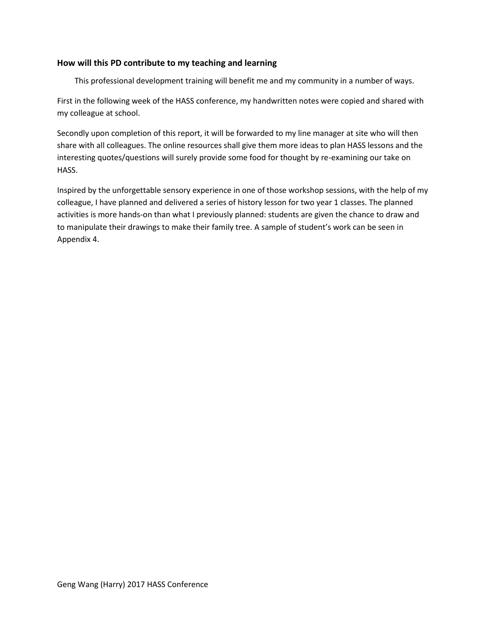#### **How will this PD contribute to my teaching and learning**

This professional development training will benefit me and my community in a number of ways.

First in the following week of the HASS conference, my handwritten notes were copied and shared with my colleague at school.

Secondly upon completion of this report, it will be forwarded to my line manager at site who will then share with all colleagues. The online resources shall give them more ideas to plan HASS lessons and the interesting quotes/questions will surely provide some food for thought by re-examining our take on HASS.

Inspired by the unforgettable sensory experience in one of those workshop sessions, with the help of my colleague, I have planned and delivered a series of history lesson for two year 1 classes. The planned activities is more hands-on than what I previously planned: students are given the chance to draw and to manipulate their drawings to make their family tree. A sample of student's work can be seen in Appendix 4.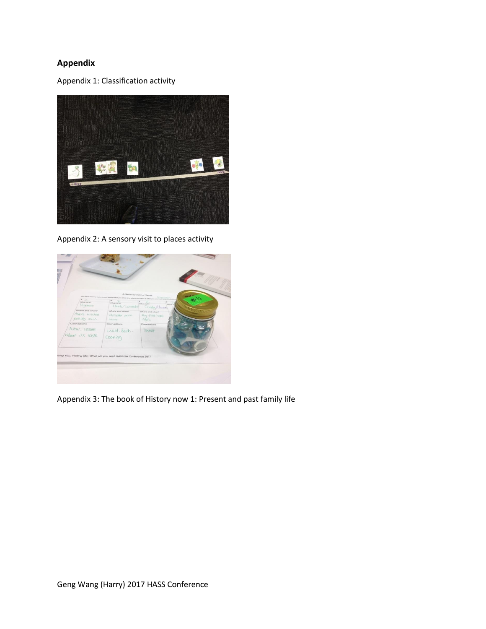# **Appendix**

Appendix 1: Classification activity



Appendix 2: A sensory visit to places activity



Appendix 3: The book of History now 1: Present and past family life